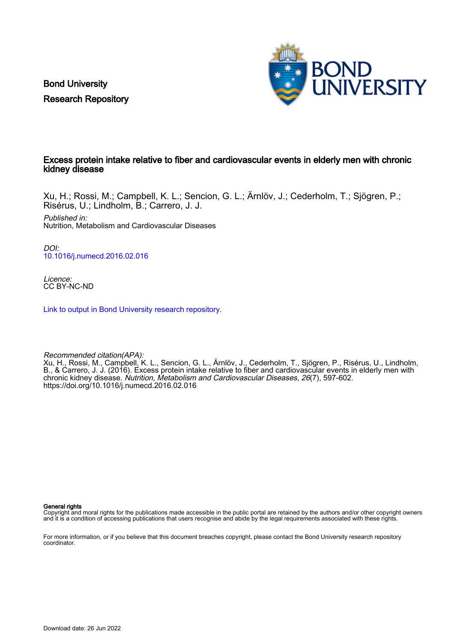Bond University Research Repository



### Excess protein intake relative to fiber and cardiovascular events in elderly men with chronic kidney disease

Xu, H.; Rossi, M.; Campbell, K. L.; Sencion, G. L.; Ärnlöv, J.; Cederholm, T.; Sjögren, P.; Risérus, U.; Lindholm, B.; Carrero, J. J.

Published in: Nutrition, Metabolism and Cardiovascular Diseases

DOI: [10.1016/j.numecd.2016.02.016](https://doi.org/10.1016/j.numecd.2016.02.016)

Licence: CC BY-NC-ND

[Link to output in Bond University research repository.](https://research.bond.edu.au/en/publications/604f2f5a-fae8-41d7-bf8f-0bd7bd9173e0)

Recommended citation(APA): Xu, H., Rossi, M., Campbell, K. L., Sencion, G. L., Ärnlöv, J., Cederholm, T., Sjögren, P., Risérus, U., Lindholm, B., & Carrero, J. J. (2016). Excess protein intake relative to fiber and cardiovascular events in elderly men with chronic kidney disease. Nutrition, Metabolism and Cardiovascular Diseases, 26(7), 597-602. <https://doi.org/10.1016/j.numecd.2016.02.016>

General rights

Copyright and moral rights for the publications made accessible in the public portal are retained by the authors and/or other copyright owners and it is a condition of accessing publications that users recognise and abide by the legal requirements associated with these rights.

For more information, or if you believe that this document breaches copyright, please contact the Bond University research repository coordinator.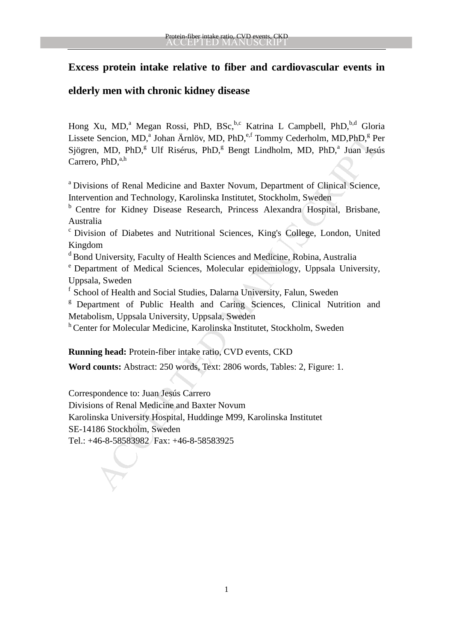# **Excess protein intake relative to fiber and cardiovascular events in**

# **elderly men with chronic kidney disease**

Hong Xu, MD,<sup>a</sup> Megan Rossi, PhD, BSc,<sup>b,c</sup> Katrina L Campbell, PhD,<sup>b,d</sup> Gloria Lissete Sencion, MD,<sup>a</sup> Johan Ärnlöv, MD, PhD,<sup>e,f</sup> Tommy Cederholm, MD,PhD,<sup>g</sup> Per Sjögren, MD, PhD,<sup>g</sup> Ulf Risérus, PhD,<sup>g</sup> Bengt Lindholm, MD, PhD,<sup>a</sup> Juan Jesús Carrero,  $PhD$ , $<sup>a,h</sup>$ </sup>

<sup>a</sup> Divisions of Renal Medicine and Baxter Novum, Department of Clinical Science, Intervention and Technology, Karolinska Institutet, Stockholm, Sweden

<sup>b</sup> Centre for Kidney Disease Research, Princess Alexandra Hospital, Brisbane, Australia

<sup>c</sup> Division of Diabetes and Nutritional Sciences, King's College, London, United Kingdom

 $\alpha$ <sup>d</sup> Bond University, Faculty of Health Sciences and Medicine, Robina, Australia

<sup>e</sup> Department of Medical Sciences, Molecular epidemiology, Uppsala University, Uppsala, Sweden

<sup>f</sup> School of Health and Social Studies, Dalarna University, Falun, Sweden

<sup>g</sup> Department of Public Health and Caring Sciences, Clinical Nutrition and Metabolism, Uppsala University, Uppsala, Sweden

h Center for Molecular Medicine, Karolinska Institutet, Stockholm, Sweden

**Running head:** Protein-fiber intake ratio, CVD events, CKD

**Word counts:** Abstract: 250 words, Text: 2806 words, Tables: 2, Figure: 1.

Sencion, MD,<sup>4</sup> Johan Ärnlöv, MD, PhD,<sup>6,1</sup> Tommy Cederholm, MD,PhD,<sup>8</sup> Pe<br>
1, MD, PhD,<sup>8</sup> UH Risérus, PhD,<sup>6</sup> Bengt Lindholm, MD, PhD,<sup>4</sup> Juan Jest<br>
1, MD, PhD,<sup>8</sup> UH Risérus, PhD,<sup>6</sup> Bengt Lindholm, MD, PhD,<sup>4</sup> Juan Jest Correspondence to: Juan Jesús Carrero Divisions of Renal Medicine and Baxter Novum Karolinska University Hospital, Huddinge M99, Karolinska Institutet SE-14186 Stockholm, Sweden Tel.: +46-8-58583982 Fax: +46-8-58583925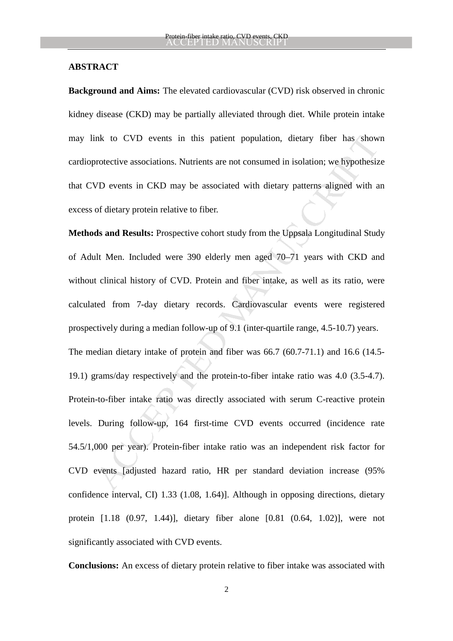### **ABSTRACT**

**Background and Aims:** The elevated cardiovascular (CVD) risk observed in chronic kidney disease (CKD) may be partially alleviated through diet. While protein intake may link to CVD events in this patient population, dietary fiber has shown cardioprotective associations. Nutrients are not consumed in isolation; we hypothesize that CVD events in CKD may be associated with dietary patterns aligned with an excess of dietary protein relative to fiber.

ink to CVD events in this patient population, dietary fiber has show<br>orotective associations. Nutrients are not consumed in isolation; we hypothesiz<br>VD events in CKD may be associated with dietary patterns aligned with a<br>o **Methods and Results:** Prospective cohort study from the Uppsala Longitudinal Study of Adult Men. Included were 390 elderly men aged 70–71 years with CKD and without clinical history of CVD. Protein and fiber intake, as well as its ratio, were calculated from 7-day dietary records. Cardiovascular events were registered prospectively during a median follow-up of 9.1 (inter-quartile range, 4.5-10.7) years. The median dietary intake of protein and fiber was 66.7 (60.7-71.1) and 16.6 (14.5- 19.1) grams/day respectively and the protein-to-fiber intake ratio was 4.0 (3.5-4.7). Protein-to-fiber intake ratio was directly associated with serum C-reactive protein levels. During follow-up, 164 first-time CVD events occurred (incidence rate 54.5/1,000 per year). Protein-fiber intake ratio was an independent risk factor for CVD events [adjusted hazard ratio, HR per standard deviation increase (95% confidence interval, CI) 1.33 (1.08, 1.64)]. Although in opposing directions, dietary protein [1.18 (0.97, 1.44)], dietary fiber alone [0.81 (0.64, 1.02)], were not significantly associated with CVD events.

**Conclusions:** An excess of dietary protein relative to fiber intake was associated with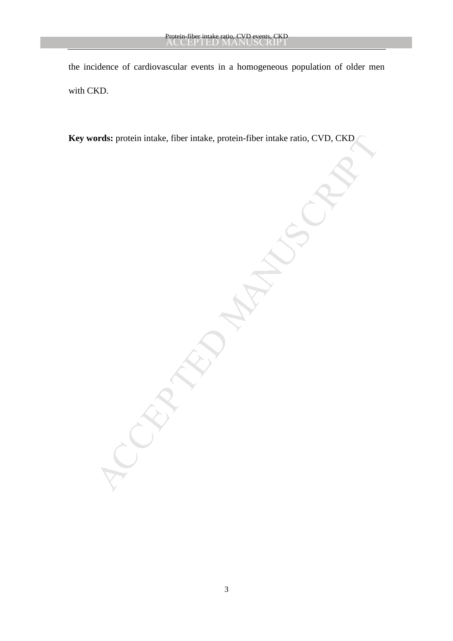the incidence of cardiovascular events in a homogeneous population of older men with CKD.

ords: protein intake, fiber intake, protein-fiber intake ratio, CVD, CKD<br>
ACCEPTED intake and the ratio of CVD, CKD<br>
ACCEPTED intake and the ratio of CVD, CKD<br>
ACCEPTED interactions of the ratio of CVD, CKD<br>
ACCEPTED inter **Key words:** protein intake, fiber intake, protein-fiber intake ratio, CVD, CKD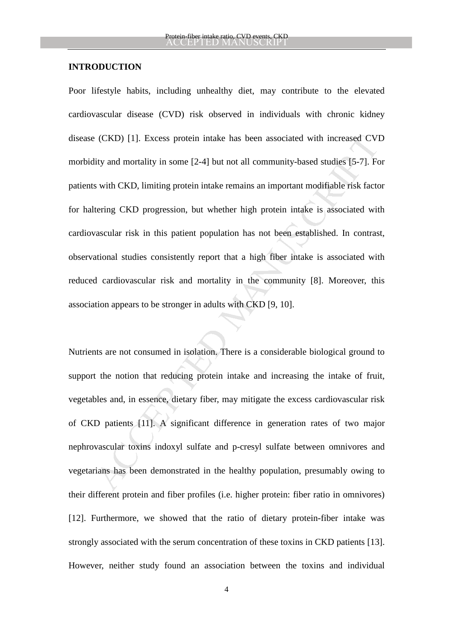#### **INTRODUCTION**

(CKD) [1]. Excess protein intake has been associated with increased CVI<br>ity and mortality in some [2-4] but not all community-based studies [5-7]. Fe<br>s with CKD, limiting protein intake remains an important modifiable risk Poor lifestyle habits, including unhealthy diet, may contribute to the elevated cardiovascular disease (CVD) risk observed in individuals with chronic kidney disease (CKD) [1]. Excess protein intake has been associated with increased CVD morbidity and mortality in some [2-4] but not all community-based studies [5-7]. For patients with CKD, limiting protein intake remains an important modifiable risk factor for haltering CKD progression, but whether high protein intake is associated with cardiovascular risk in this patient population has not been established. In contrast, observational studies consistently report that a high fiber intake is associated with reduced cardiovascular risk and mortality in the community [8]. Moreover, this association appears to be stronger in adults with CKD [9, 10].

Nutrients are not consumed in isolation. There is a considerable biological ground to support the notion that reducing protein intake and increasing the intake of fruit, vegetables and, in essence, dietary fiber, may mitigate the excess cardiovascular risk of CKD patients [11]. A significant difference in generation rates of two major nephrovascular toxins indoxyl sulfate and p-cresyl sulfate between omnivores and vegetarians has been demonstrated in the healthy population, presumably owing to their different protein and fiber profiles (i.e. higher protein: fiber ratio in omnivores) [12]. Furthermore, we showed that the ratio of dietary protein-fiber intake was strongly associated with the serum concentration of these toxins in CKD patients [13]. However, neither study found an association between the toxins and individual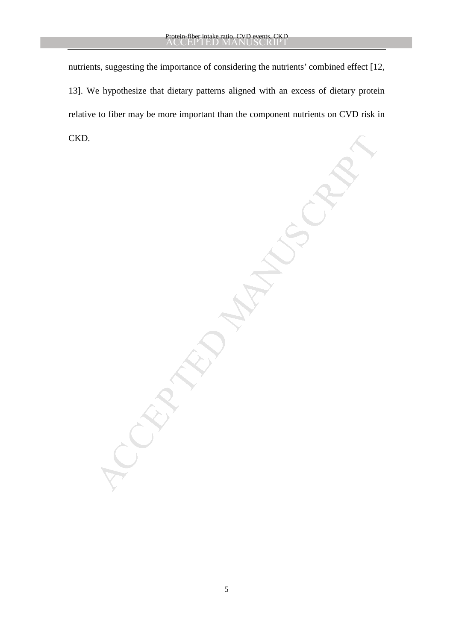MANUSCRIPT nutrients, suggesting the importance of considering the nutrients' combined effect [12, 13]. We hypothesize that dietary patterns aligned with an excess of dietary protein relative to fiber may be more important than the component nutrients on CVD risk in CKD.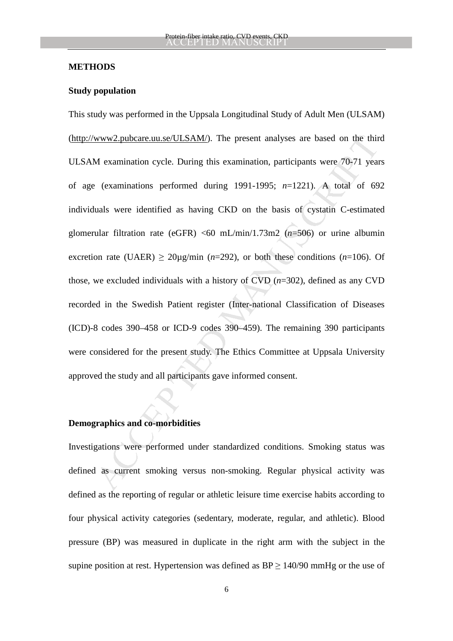### **METHODS**

### **Study population**

www2.pubcare.uu.se/ULSAM/). The present analyses are based on the thir<br>M examination cycle. During this examination, participants were 70-71 year<br>(examinations performed during 1991-1995;  $n=1221$ ). A total of 69<br>uals were This study was performed in the Uppsala Longitudinal Study of Adult Men (ULSAM) (http://www2.pubcare.uu.se/ULSAM/). The present analyses are based on the third ULSAM examination cycle. During this examination, participants were 70-71 years of age (examinations performed during 1991-1995; *n*=1221). A total of 692 individuals were identified as having CKD on the basis of cystatin C-estimated glomerular filtration rate (eGFR) <60 mL/min/1.73m2 (*n*=506) or urine albumin excretion rate (UAER)  $\geq$  20 $\mu$ g/min (*n*=292), or both these conditions (*n*=106). Of those, we excluded individuals with a history of CVD (*n*=302), defined as any CVD recorded in the Swedish Patient register (Inter-national Classification of Diseases (ICD)-8 codes 390–458 or ICD-9 codes 390–459). The remaining 390 participants were considered for the present study. The Ethics Committee at Uppsala University approved the study and all participants gave informed consent.

## **Demographics and co-morbidities**

Investigations were performed under standardized conditions. Smoking status was defined as current smoking versus non-smoking. Regular physical activity was defined as the reporting of regular or athletic leisure time exercise habits according to four physical activity categories (sedentary, moderate, regular, and athletic). Blood pressure (BP) was measured in duplicate in the right arm with the subject in the supine position at rest. Hypertension was defined as  $BP \ge 140/90$  mmHg or the use of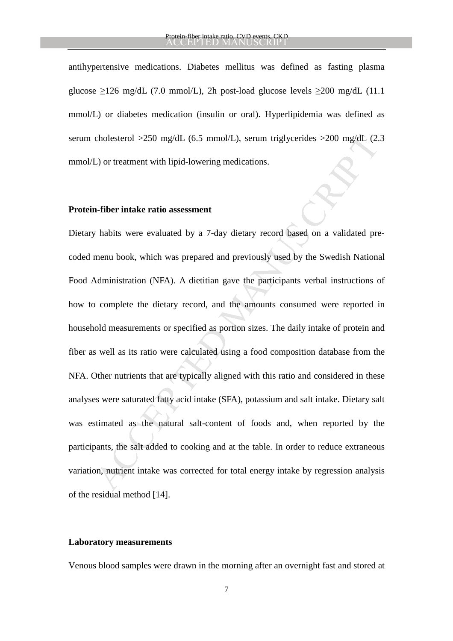antihypertensive medications. Diabetes mellitus was defined as fasting plasma glucose ≥126 mg/dL (7.0 mmol/L), 2h post-load glucose levels ≥200 mg/dL (11.1 mmol/L) or diabetes medication (insulin or oral). Hyperlipidemia was defined as serum cholesterol >250 mg/dL (6.5 mmol/L), serum triglycerides >200 mg/dL (2.3 mmol/L) or treatment with lipid-lowering medications.

### **Protein-fiber intake ratio assessment**

cholesterol >250 mg/dL (6.5 mmol/L), serum triglycerides >200 mg/dL (2.<br>
L) or treatment with lipid-lowering medications.<br> **a-fiber intake ratio assessment**<br> **a-fiber intake ratio assessment**<br> **a-fiber intake ratio assessm** Dietary habits were evaluated by a 7-day dietary record based on a validated precoded menu book, which was prepared and previously used by the Swedish National Food Administration (NFA). A dietitian gave the participants verbal instructions of how to complete the dietary record, and the amounts consumed were reported in household measurements or specified as portion sizes. The daily intake of protein and fiber as well as its ratio were calculated using a food composition database from the NFA. Other nutrients that are typically aligned with this ratio and considered in these analyses were saturated fatty acid intake (SFA), potassium and salt intake. Dietary salt was estimated as the natural salt-content of foods and, when reported by the participants, the salt added to cooking and at the table. In order to reduce extraneous variation, nutrient intake was corrected for total energy intake by regression analysis of the residual method [14].

#### **Laboratory measurements**

Venous blood samples were drawn in the morning after an overnight fast and stored at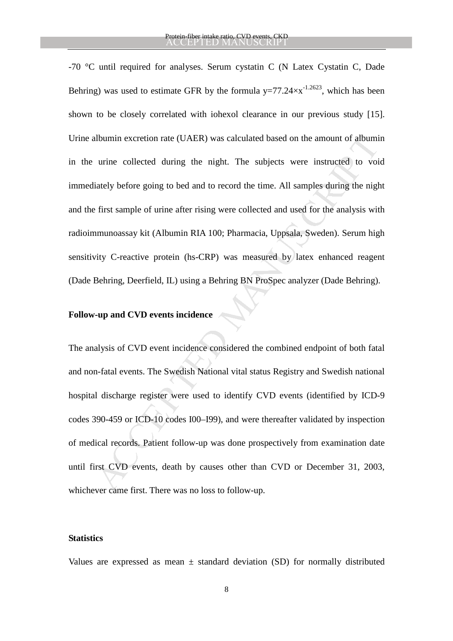Ilbumin excretion rate (UAER) was calculated based on the amount of albumi<br>
urine collected during the night. The subjects were instructed to voi<br>
iately before going to bed and to record the time. All samples during the n -70 °C until required for analyses. Serum cystatin C (N Latex Cystatin C, Dade Behring) was used to estimate GFR by the formula  $y=77.24 \times x^{-1.2623}$ , which has been shown to be closely correlated with iohexol clearance in our previous study [15]. Urine albumin excretion rate (UAER) was calculated based on the amount of albumin in the urine collected during the night. The subjects were instructed to void immediately before going to bed and to record the time. All samples during the night and the first sample of urine after rising were collected and used for the analysis with radioimmunoassay kit (Albumin RIA 100; Pharmacia, Uppsala, Sweden). Serum high sensitivity C-reactive protein (hs-CRP) was measured by latex enhanced reagent (Dade Behring, Deerfield, IL) using a Behring BN ProSpec analyzer (Dade Behring).

## **Follow-up and CVD events incidence**

The analysis of CVD event incidence considered the combined endpoint of both fatal and non-fatal events. The Swedish National vital status Registry and Swedish national hospital discharge register were used to identify CVD events (identified by ICD-9 codes 390-459 or ICD-10 codes I00–I99), and were thereafter validated by inspection of medical records. Patient follow-up was done prospectively from examination date until first CVD events, death by causes other than CVD or December 31, 2003, whichever came first. There was no loss to follow-up.

### **Statistics**

Values are expressed as mean  $\pm$  standard deviation (SD) for normally distributed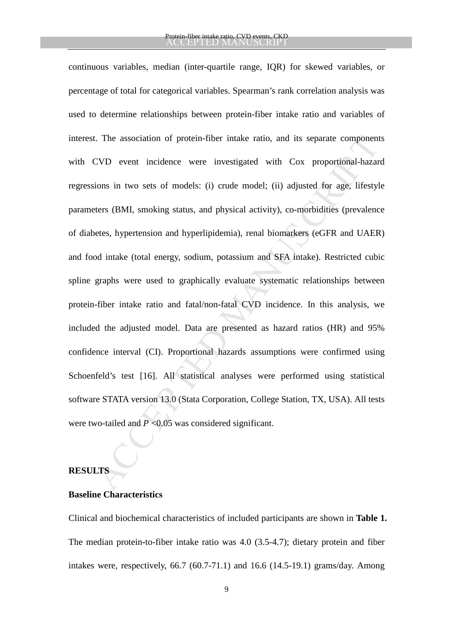t. The association of protein-fiber intake ratio, and its separate component<br>CVD event incidence were investigated with Cox proportional-hazar<br>ions in two sets of models: (i) crude model; (ii) adjusted for age, lifestyl<br>t continuous variables, median (inter-quartile range, IQR) for skewed variables, or percentage of total for categorical variables. Spearman's rank correlation analysis was used to determine relationships between protein-fiber intake ratio and variables of interest. The association of protein-fiber intake ratio, and its separate components with CVD event incidence were investigated with Cox proportional-hazard regressions in two sets of models: (i) crude model; (ii) adjusted for age, lifestyle parameters (BMI, smoking status, and physical activity), co-morbidities (prevalence of diabetes, hypertension and hyperlipidemia), renal biomarkers (eGFR and UAER) and food intake (total energy, sodium, potassium and SFA intake). Restricted cubic spline graphs were used to graphically evaluate systematic relationships between protein-fiber intake ratio and fatal/non-fatal CVD incidence. In this analysis, we included the adjusted model. Data are presented as hazard ratios (HR) and 95% confidence interval (CI). Proportional hazards assumptions were confirmed using Schoenfeld's test [16]. All statistical analyses were performed using statistical software STATA version 13.0 (Stata Corporation, College Station, TX, USA). All tests were two-tailed and *P* <0.05 was considered significant.

# **RESULTS**

### **Baseline Characteristics**

Clinical and biochemical characteristics of included participants are shown in **Table 1.**  The median protein-to-fiber intake ratio was 4.0 (3.5-4.7); dietary protein and fiber intakes were, respectively,  $66.7$   $(60.7-71.1)$  and  $16.6$   $(14.5-19.1)$  grams/day. Among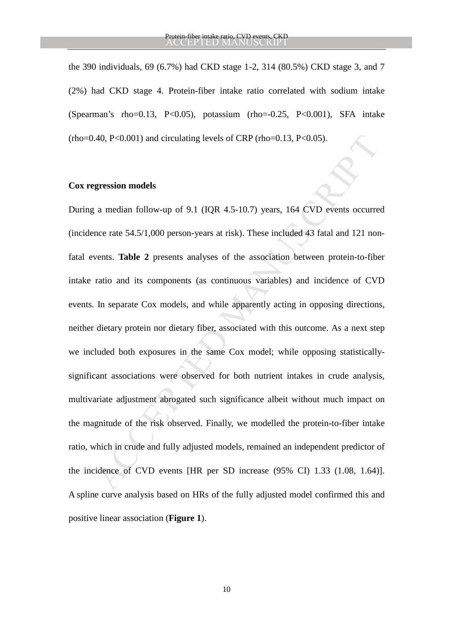the 390 individuals, 69 (6.7%) had CKD stage 1-2, 314 (80.5%) CKD stage 3, and 7 (2%) had CKD stage 4. Protein-fiber intake ratio correlated with sodium intake (Spearman's rho=0.13, P<0.05), potassium (rho= $-0.25$ , P<0.001), SFA intake  $(rho=0.40, P<0.001)$  and circulating levels of CRP  $(rho=0.13, P<0.05)$ .

### **Cox regression models**

40, P<0.001) and circulating levels of CRP (tho=0.13, P<0.05).<br> **gression models**<br>
a median follow-up of 9.1 (IQR 4.5-10.7) years, 164 CVD events occurre<br>
nece rate 54.5/1,000 person-years at risk). These included 43 fata During a median follow-up of 9.1 (IQR 4.5-10.7) years, 164 CVD events occurred (incidence rate 54.5/1,000 person-years at risk). These included 43 fatal and 121 nonfatal events. **Table 2** presents analyses of the association between protein-to-fiber intake ratio and its components (as continuous variables) and incidence of CVD events. In separate Cox models, and while apparently acting in opposing directions, neither dietary protein nor dietary fiber, associated with this outcome. As a next step we included both exposures in the same Cox model; while opposing statisticallysignificant associations were observed for both nutrient intakes in crude analysis, multivariate adjustment abrogated such significance albeit without much impact on the magnitude of the risk observed. Finally, we modelled the protein-to-fiber intake ratio, which in crude and fully adjusted models, remained an independent predictor of the incidence of CVD events [HR per SD increase (95% CI) 1.33 (1.08, 1.64)]. A spline curve analysis based on HRs of the fully adjusted model confirmed this and positive linear association (**Figure 1**).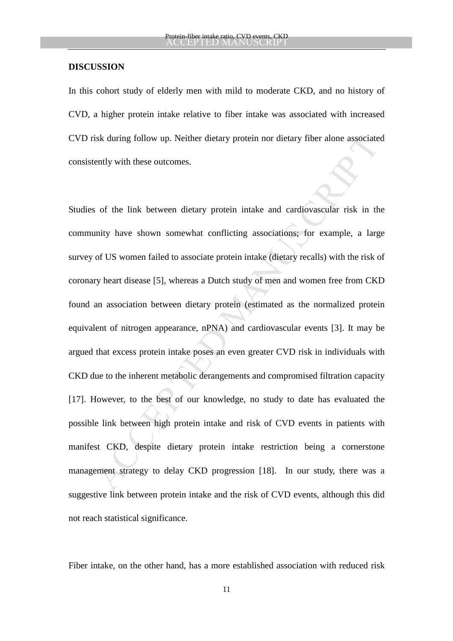### **DISCUSSION**

In this cohort study of elderly men with mild to moderate CKD, and no history of CVD, a higher protein intake relative to fiber intake was associated with increased CVD risk during follow up. Neither dietary protein nor dietary fiber alone associated consistently with these outcomes.

isk during follow up. Neither dietary protein nor dietary fiber alone associate<br>ently with these outcomes.<br>So for the link between dietary protein intake and cardiovascular risk in the<br>mity have shown somewhat conflicting Studies of the link between dietary protein intake and cardiovascular risk in the community have shown somewhat conflicting associations; for example, a large survey of US women failed to associate protein intake (dietary recalls) with the risk of coronary heart disease [5], whereas a Dutch study of men and women free from CKD found an association between dietary protein (estimated as the normalized protein equivalent of nitrogen appearance, nPNA) and cardiovascular events [3]. It may be argued that excess protein intake poses an even greater CVD risk in individuals with CKD due to the inherent metabolic derangements and compromised filtration capacity [17]. However, to the best of our knowledge, no study to date has evaluated the possible link between high protein intake and risk of CVD events in patients with manifest CKD, despite dietary protein intake restriction being a cornerstone management strategy to delay CKD progression [18]. In our study, there was a suggestive link between protein intake and the risk of CVD events, although this did not reach statistical significance.

Fiber intake, on the other hand, has a more established association with reduced risk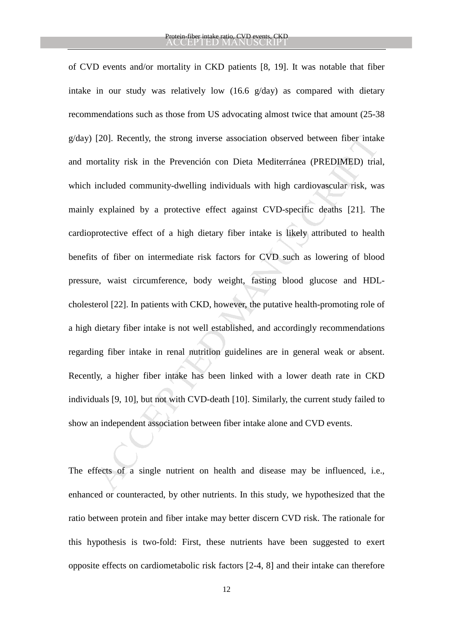[20]. Recently, the strong inverse association observed between fiber intakeratily risk in the Prevención con Dieta Mediterránea (PREDIMED) trial included community-dwelling individuals with high cardiovascular risk, we ex of CVD events and/or mortality in CKD patients [8, 19]. It was notable that fiber intake in our study was relatively low (16.6 g/day) as compared with dietary recommendations such as those from US advocating almost twice that amount (25-38 g/day) [20]. Recently, the strong inverse association observed between fiber intake and mortality risk in the Prevención con Dieta Mediterránea (PREDIMED) trial, which included community-dwelling individuals with high cardiovascular risk, was mainly explained by a protective effect against CVD-specific deaths [21]. The cardioprotective effect of a high dietary fiber intake is likely attributed to health benefits of fiber on intermediate risk factors for CVD such as lowering of blood pressure, waist circumference, body weight, fasting blood glucose and HDLcholesterol [22]. In patients with CKD, however, the putative health-promoting role of a high dietary fiber intake is not well established, and accordingly recommendations regarding fiber intake in renal nutrition guidelines are in general weak or absent. Recently, a higher fiber intake has been linked with a lower death rate in CKD individuals [9, 10], but not with CVD-death [10]. Similarly, the current study failed to show an independent association between fiber intake alone and CVD events.

The effects of a single nutrient on health and disease may be influenced, i.e., enhanced or counteracted, by other nutrients. In this study, we hypothesized that the ratio between protein and fiber intake may better discern CVD risk. The rationale for this hypothesis is two-fold: First, these nutrients have been suggested to exert opposite effects on cardiometabolic risk factors [2-4, 8] and their intake can therefore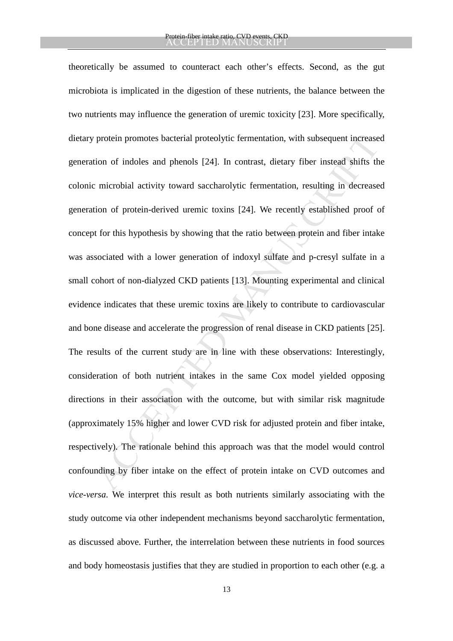protein promotes bacterial proteolytic fermentation, with subsequent increase<br>tion of indoles and phenols [24]. In contrast, dietary fiber instead shifts the<br>microbial activity toward saccharolytic fermentation, resulting theoretically be assumed to counteract each other's effects. Second, as the gut microbiota is implicated in the digestion of these nutrients, the balance between the two nutrients may influence the generation of uremic toxicity [23]. More specifically, dietary protein promotes bacterial proteolytic fermentation, with subsequent increased generation of indoles and phenols [24]. In contrast, dietary fiber instead shifts the colonic microbial activity toward saccharolytic fermentation, resulting in decreased generation of protein-derived uremic toxins [24]. We recently established proof of concept for this hypothesis by showing that the ratio between protein and fiber intake was associated with a lower generation of indoxyl sulfate and p-cresyl sulfate in a small cohort of non-dialyzed CKD patients [13]. Mounting experimental and clinical evidence indicates that these uremic toxins are likely to contribute to cardiovascular and bone disease and accelerate the progression of renal disease in CKD patients [25]. The results of the current study are in line with these observations: Interestingly, consideration of both nutrient intakes in the same Cox model yielded opposing directions in their association with the outcome, but with similar risk magnitude (approximately 15% higher and lower CVD risk for adjusted protein and fiber intake, respectively). The rationale behind this approach was that the model would control confounding by fiber intake on the effect of protein intake on CVD outcomes and *vice-versa*. We interpret this result as both nutrients similarly associating with the study outcome via other independent mechanisms beyond saccharolytic fermentation, as discussed above. Further, the interrelation between these nutrients in food sources and body homeostasis justifies that they are studied in proportion to each other (e.g. a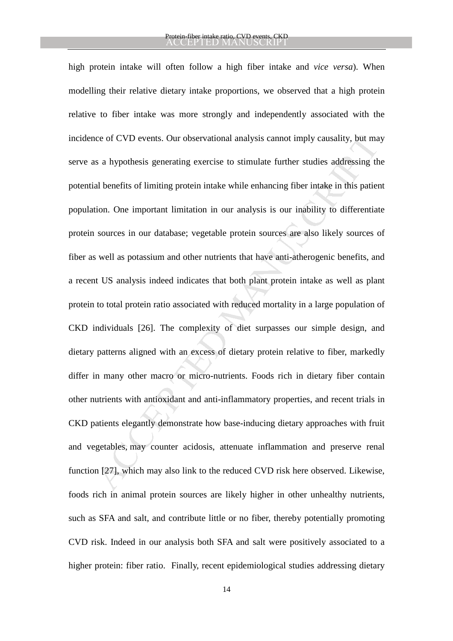ice of CVD events. Our observational analysis cannot imply causality, but ma<br>s a hypothesis generating exercise to stimulate further studies addressing th<br>al benefits of limiting protein intake while enhancing fiber intake high protein intake will often follow a high fiber intake and *vice versa*). When modelling their relative dietary intake proportions, we observed that a high protein relative to fiber intake was more strongly and independently associated with the incidence of CVD events. Our observational analysis cannot imply causality, but may serve as a hypothesis generating exercise to stimulate further studies addressing the potential benefits of limiting protein intake while enhancing fiber intake in this patient population. One important limitation in our analysis is our inability to differentiate protein sources in our database; vegetable protein sources are also likely sources of fiber as well as potassium and other nutrients that have anti-atherogenic benefits, and a recent US analysis indeed indicates that both plant protein intake as well as plant protein to total protein ratio associated with reduced mortality in a large population of CKD individuals [26]. The complexity of diet surpasses our simple design, and dietary patterns aligned with an excess of dietary protein relative to fiber, markedly differ in many other macro or micro-nutrients. Foods rich in dietary fiber contain other nutrients with antioxidant and anti-inflammatory properties, and recent trials in CKD patients elegantly demonstrate how base-inducing dietary approaches with fruit and vegetables, may counter acidosis, attenuate inflammation and preserve renal function [27], which may also link to the reduced CVD risk here observed. Likewise, foods rich in animal protein sources are likely higher in other unhealthy nutrients, such as SFA and salt, and contribute little or no fiber, thereby potentially promoting CVD risk. Indeed in our analysis both SFA and salt were positively associated to a higher protein: fiber ratio. Finally, recent epidemiological studies addressing dietary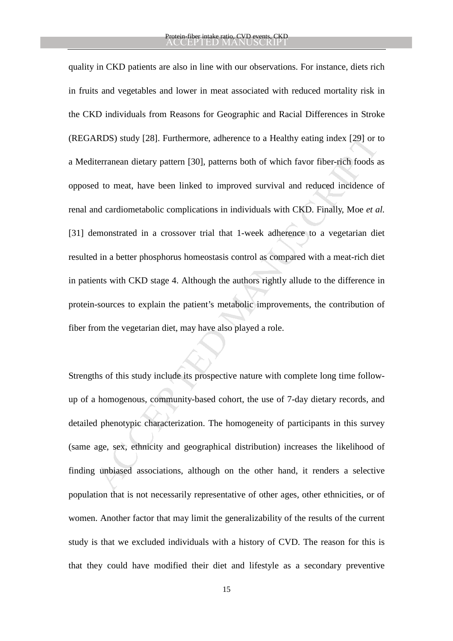REDS) study [28]. Furthermore, adherence to a Healthy eating index [29] or the tranean dietary pattern [30], patterns both of which favor fiber-rich foods at to meat, have been linked to improved survival and reduced incid quality in CKD patients are also in line with our observations. For instance, diets rich in fruits and vegetables and lower in meat associated with reduced mortality risk in the CKD individuals from Reasons for Geographic and Racial Differences in Stroke (REGARDS) study [28]. Furthermore, adherence to a Healthy eating index [29] or to a Mediterranean dietary pattern [30], patterns both of which favor fiber-rich foods as opposed to meat, have been linked to improved survival and reduced incidence of renal and cardiometabolic complications in individuals with CKD. Finally, Moe *et al.*  [31] demonstrated in a crossover trial that 1-week adherence to a vegetarian diet resulted in a better phosphorus homeostasis control as compared with a meat-rich diet in patients with CKD stage 4. Although the authors rightly allude to the difference in protein-sources to explain the patient's metabolic improvements, the contribution of fiber from the vegetarian diet, may have also played a role.

Strengths of this study include its prospective nature with complete long time followup of a homogenous, community-based cohort, the use of 7-day dietary records, and detailed phenotypic characterization. The homogeneity of participants in this survey (same age, sex, ethnicity and geographical distribution) increases the likelihood of finding unbiased associations, although on the other hand, it renders a selective population that is not necessarily representative of other ages, other ethnicities, or of women. Another factor that may limit the generalizability of the results of the current study is that we excluded individuals with a history of CVD. The reason for this is that they could have modified their diet and lifestyle as a secondary preventive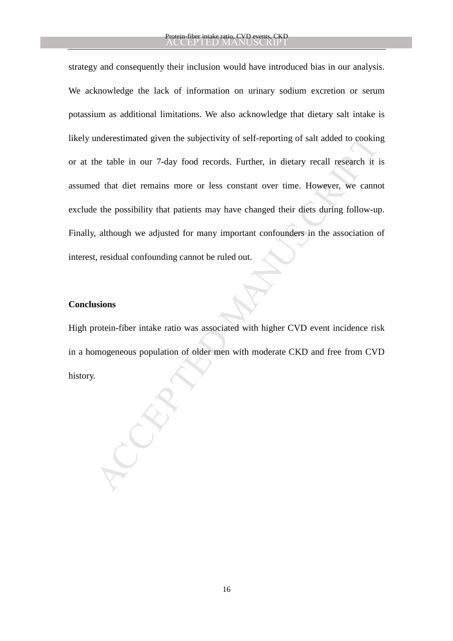inderestimated given the subjectivity of self-reporting of salt added to cookin<br>the table in our 7-day food records. Further, in dietary recall research it is<br>d that diet remains more or less constant over time. However, w strategy and consequently their inclusion would have introduced bias in our analysis. We acknowledge the lack of information on urinary sodium excretion or serum potassium as additional limitations. We also acknowledge that dietary salt intake is likely underestimated given the subjectivity of self-reporting of salt added to cooking or at the table in our 7-day food records. Further, in dietary recall research it is assumed that diet remains more or less constant over time. However, we cannot exclude the possibility that patients may have changed their diets during follow-up. Finally, although we adjusted for many important confounders in the association of interest, residual confounding cannot be ruled out.

# **Conclusions**

High protein-fiber intake ratio was associated with higher CVD event incidence risk in a homogeneous population of older men with moderate CKD and free from CVD history.

16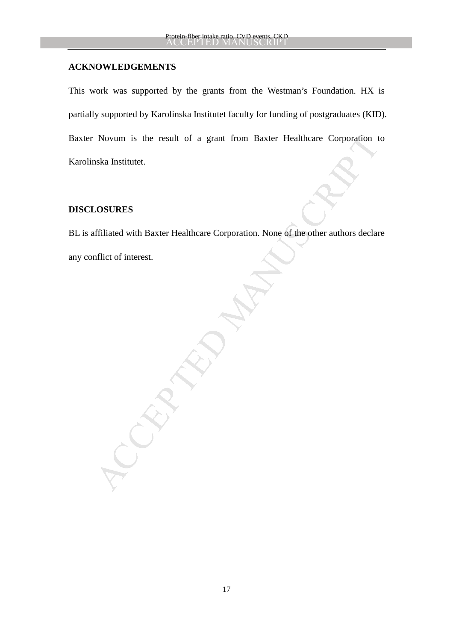## **ACKNOWLEDGEMENTS**

This work was supported by the grants from the Westman's Foundation. HX is partially supported by Karolinska Institutet faculty for funding of postgraduates (KID). Baxter Novum is the result of a grant from Baxter Healthcare Corporation to Karolinska Institutet.

# **DISCLOSURES**

Novum is the result of a grant from Baxter Healthcare Corporation to<br>ska Institutet.<br>
<br> **ACCURES**<br>
difficiated with Baxter Healthcare Corporation. None of the other authors declare<br>
filiet of interest. BL is affiliated with Baxter Healthcare Corporation. None of the other authors declare any conflict of interest.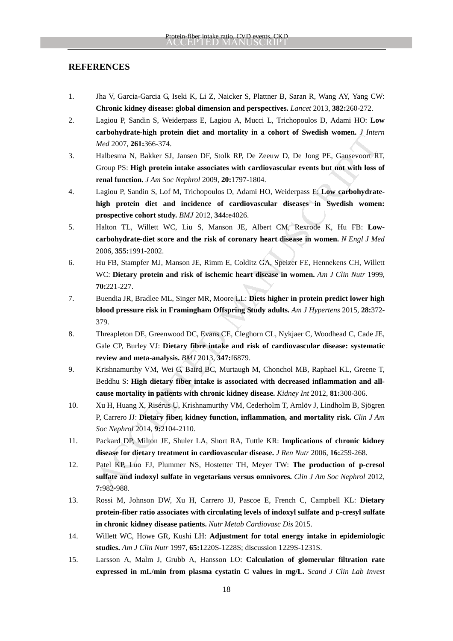### **REFERENCES**

- 1. Jha V, Garcia-Garcia G, Iseki K, Li Z, Naicker S, Plattner B, Saran R, Wang AY, Yang CW: **Chronic kidney disease: global dimension and perspectives.** *Lancet* 2013, **382:**260-272.
- 2. Lagiou P, Sandin S, Weiderpass E, Lagiou A, Mucci L, Trichopoulos D, Adami HO: **Low carbohydrate-high protein diet and mortality in a cohort of Swedish women.** *J Intern Med* 2007, **261:**366-374.
- 3. Halbesma N, Bakker SJ, Jansen DF, Stolk RP, De Zeeuw D, De Jong PE, Gansevoort RT, Group PS: **High protein intake associates with cardiovascular events but not with loss of renal function.** *J Am Soc Nephrol* 2009, **20:**1797-1804.
- *Med* 2007, 261:366-374.<br> *Med 2007, 261:366-374.*<br> *Med 2007, 261:366-374.*<br>
Halbessna N, Bakker SJ, Jansen DF, Stolk RP, De Zeeuw D, De Jong PF, Gansevoor R Group PS. High protein inake associates with cardivascular eve 4. Lagiou P, Sandin S, Lof M, Trichopoulos D, Adami HO, Weiderpass E: **Low carbohydratehigh protein diet and incidence of cardiovascular diseases in Swedish women: prospective cohort study.** *BMJ* 2012, **344:**e4026.
- 5. Halton TL, Willett WC, Liu S, Manson JE, Albert CM, Rexrode K, Hu FB: **Lowcarbohydrate-diet score and the risk of coronary heart disease in women.** *N Engl J Med*  2006, **355:**1991-2002.
- 6. Hu FB, Stampfer MJ, Manson JE, Rimm E, Colditz GA, Speizer FE, Hennekens CH, Willett WC: **Dietary protein and risk of ischemic heart disease in women.** *Am J Clin Nutr* 1999, **70:**221-227.
- 7. Buendia JR, Bradlee ML, Singer MR, Moore LL: **Diets higher in protein predict lower high blood pressure risk in Framingham Offspring Study adults.** *Am J Hypertens* 2015, **28:**372- 379.
- 8. Threapleton DE, Greenwood DC, Evans CE, Cleghorn CL, Nykjaer C, Woodhead C, Cade JE, Gale CP, Burley VJ: **Dietary fibre intake and risk of cardiovascular disease: systematic review and meta-analysis.** *BMJ* 2013, **347:**f6879.
- 9. Krishnamurthy VM, Wei G, Baird BC, Murtaugh M, Chonchol MB, Raphael KL, Greene T, Beddhu S: **High dietary fiber intake is associated with decreased inflammation and allcause mortality in patients with chronic kidney disease.** *Kidney Int* 2012, **81:**300-306.
- 10. Xu H, Huang X, Risérus U, Krishnamurthy VM, Cederholm T, Arnlöv J, Lindholm B, Sjögren P, Carrero JJ: **Dietary fiber, kidney function, inflammation, and mortality risk.** *Clin J Am Soc Nephrol* 2014, **9:**2104-2110.
- 11. Packard DP, Milton JE, Shuler LA, Short RA, Tuttle KR: **Implications of chronic kidney disease for dietary treatment in cardiovascular disease.** *J Ren Nutr* 2006, **16:**259-268.
- 12. Patel KP, Luo FJ, Plummer NS, Hostetter TH, Meyer TW: **The production of p-cresol sulfate and indoxyl sulfate in vegetarians versus omnivores.** *Clin J Am Soc Nephrol* 2012, **7:**982-988.
- 13. Rossi M, Johnson DW, Xu H, Carrero JJ, Pascoe E, French C, Campbell KL: **Dietary protein-fiber ratio associates with circulating levels of indoxyl sulfate and p-cresyl sulfate in chronic kidney disease patients.** *Nutr Metab Cardiovasc Dis* 2015.
- 14. Willett WC, Howe GR, Kushi LH: **Adjustment for total energy intake in epidemiologic studies.** *Am J Clin Nutr* 1997, **65:**1220S-1228S; discussion 1229S-1231S.
- 15. Larsson A, Malm J, Grubb A, Hansson LO: **Calculation of glomerular filtration rate expressed in mL/min from plasma cystatin C values in mg/L.** *Scand J Clin Lab Invest*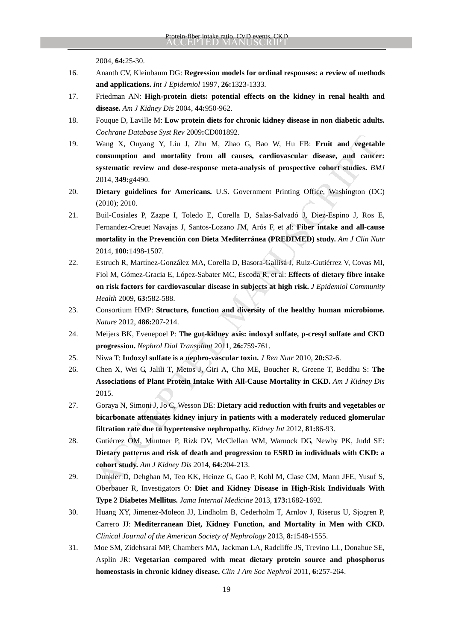2004, **64:**25-30.

- 16. Ananth CV, Kleinbaum DG: **Regression models for ordinal responses: a review of methods and applications.** *Int J Epidemiol* 1997, **26:**1323-1333.
- 17. Friedman AN: **High-protein diets: potential effects on the kidney in renal health and disease.** *Am J Kidney Dis* 2004, **44:**950-962.
- 18. Fouque D, Laville M: **Low protein diets for chronic kidney disease in non diabetic adults.** *Cochrane Database Syst Rev* 2009**:**CD001892.
- Using X, Ouyang Y, Liu J, Zhu M, Zhu G, Bao W, Hu FB: Fruit and vegetabonsumption and mortality from all causes, cardiovascular disease, and canceer systematic review and dose-response meta-analysis of prospective cohort 19. Wang X, Ouyang Y, Liu J, Zhu M, Zhao G, Bao W, Hu FB: **Fruit and vegetable consumption and mortality from all causes, cardiovascular disease, and cancer: systematic review and dose-response meta-analysis of prospective cohort studies.** *BMJ*  2014, **349:**g4490.
- 20. **Dietary guidelines for Americans.** U.S. Government Printing Office, Washington (DC) (2010); 2010.
- 21. Buil-Cosiales P, Zazpe I, Toledo E, Corella D, Salas-Salvadó J, Diez-Espino J, Ros E, Fernandez-Creuet Navajas J, Santos-Lozano JM, Arós F, et al: **Fiber intake and all-cause mortality in the Prevención con Dieta Mediterránea (PREDIMED) study.** *Am J Clin Nutr*  2014, **100:**1498-1507.
- 22. Estruch R, Martínez-González MA, Corella D, Basora-Gallisá J, Ruiz-Gutiérrez V, Covas MI, Fiol M, Gómez-Gracia E, López-Sabater MC, Escoda R, et al: **Effects of dietary fibre intake on risk factors for cardiovascular disease in subjects at high risk.** *J Epidemiol Community Health* 2009, **63:**582-588.
- 23. Consortium HMP: **Structure, function and diversity of the healthy human microbiome.** *Nature* 2012, **486:**207-214.
- 24. Meijers BK, Evenepoel P: **The gut-kidney axis: indoxyl sulfate, p-cresyl sulfate and CKD progression.** *Nephrol Dial Transplant* 2011, **26:**759-761.
- 25. Niwa T: **Indoxyl sulfate is a nephro-vascular toxin.** *J Ren Nutr* 2010, **20:**S2-6.
- 26. Chen X, Wei G, Jalili T, Metos J, Giri A, Cho ME, Boucher R, Greene T, Beddhu S: **The Associations of Plant Protein Intake With All-Cause Mortality in CKD.** *Am J Kidney Dis*  2015.
- 27. Goraya N, Simoni J, Jo C, Wesson DE: **Dietary acid reduction with fruits and vegetables or bicarbonate attenuates kidney injury in patients with a moderately reduced glomerular filtration rate due to hypertensive nephropathy.** *Kidney Int* 2012, **81:**86-93.
- 28. Gutiérrez OM, Muntner P, Rizk DV, McClellan WM, Warnock DG, Newby PK, Judd SE: **Dietary patterns and risk of death and progression to ESRD in individuals with CKD: a cohort study.** *Am J Kidney Dis* 2014, **64:**204-213.
- 29. Dunkler D, Dehghan M, Teo KK, Heinze G, Gao P, Kohl M, Clase CM, Mann JFE, Yusuf S, Oberbauer R, Investigators O: **Diet and Kidney Disease in High-Risk Individuals With Type 2 Diabetes Mellitus.** *Jama Internal Medicine* 2013, **173:**1682-1692.
- 30. Huang XY, Jimenez-Moleon JJ, Lindholm B, Cederholm T, Arnlov J, Riserus U, Sjogren P, Carrero JJ: **Mediterranean Diet, Kidney Function, and Mortality in Men with CKD.** *Clinical Journal of the American Society of Nephrology* 2013, **8:**1548-1555.
- 31. Moe SM, Zidehsarai MP, Chambers MA, Jackman LA, Radcliffe JS, Trevino LL, Donahue SE, Asplin JR: **Vegetarian compared with meat dietary protein source and phosphorus homeostasis in chronic kidney disease.** *Clin J Am Soc Nephrol* 2011, **6:**257-264.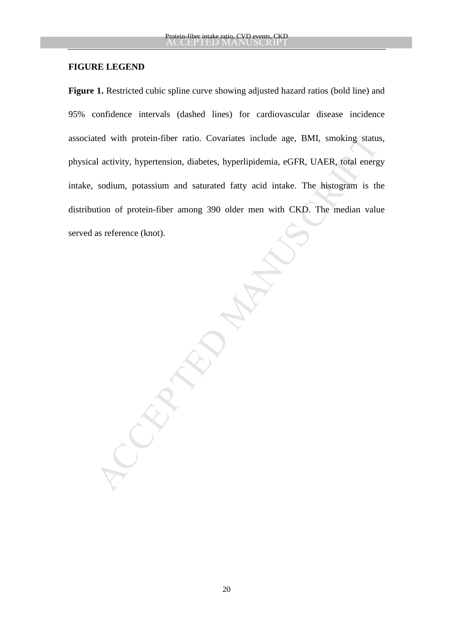### **FIGURE LEGEND**

ted with protein-fiber ratio. Covariates include age, BMI, smoking status<br>al activity, hypertension, diabetes, hyperlipidemia, eGFR, UAER, total energy<br>sodium, potassium and saturated fatty acid intake. The histogram is th Figure 1. Restricted cubic spline curve showing adjusted hazard ratios (bold line) and 95% confidence intervals (dashed lines) for cardiovascular disease incidence associated with protein-fiber ratio. Covariates include age, BMI, smoking status, physical activity, hypertension, diabetes, hyperlipidemia, eGFR, UAER, total energy intake, sodium, potassium and saturated fatty acid intake. The histogram is the distribution of protein-fiber among 390 older men with CKD. The median value served as reference (knot).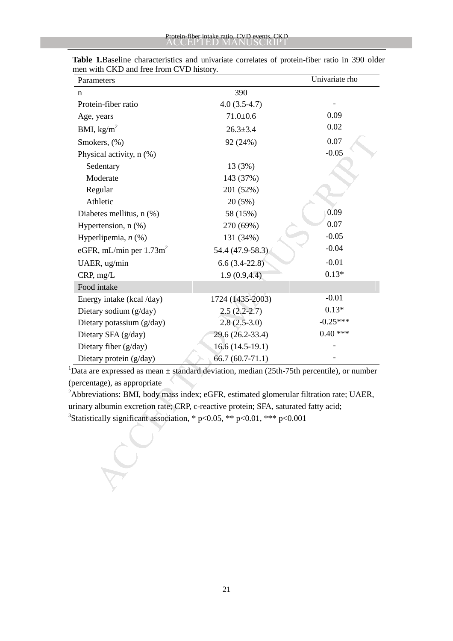| Parameters                             |                                                                                           | Univariate rho |
|----------------------------------------|-------------------------------------------------------------------------------------------|----------------|
| n                                      | 390                                                                                       |                |
| Protein-fiber ratio                    | $4.0(3.5-4.7)$                                                                            |                |
| Age, years                             | $71.0 + 0.6$                                                                              | 0.09           |
| BMI, $\text{kg/m}^2$                   | $26.3 \pm 3.4$                                                                            | 0.02           |
| Smokers, (%)                           | 92 (24%)                                                                                  | 0.07           |
| Physical activity, n (%)               |                                                                                           | $-0.05$        |
| Sedentary                              | 13 (3%)                                                                                   |                |
| Moderate                               | 143 (37%)                                                                                 |                |
| Regular                                | 201 (52%)                                                                                 |                |
| Athletic                               | 20(5%)                                                                                    |                |
| Diabetes mellitus, n (%)               | 58 (15%)                                                                                  | 0.09           |
| Hypertension, $n$ $(\%)$               | 270 (69%)                                                                                 | 0.07           |
| Hyperlipemia, $n$ (%)                  | 131 (34%)                                                                                 | $-0.05$        |
| eGFR, mL/min per $1.73$ m <sup>2</sup> | 54.4 (47.9-58.3)                                                                          | $-0.04$        |
| UAER, ug/min                           | $6.6(3.4-22.8)$                                                                           | $-0.01$        |
| CRP, mg/L                              | 1.9(0.9, 4.4)                                                                             | $0.13*$        |
| Food intake                            |                                                                                           |                |
| Energy intake (kcal /day)              | 1724 (1435-2003)                                                                          | $-0.01$        |
| Dietary sodium (g/day)                 | $2.5(2.2-2.7)$                                                                            | $0.13*$        |
| Dietary potassium (g/day)              | $2.8(2.5-3.0)$                                                                            | $-0.25***$     |
| Dietary SFA (g/day)                    | 29.6 (26.2-33.4)                                                                          | $0.40$ ***     |
| Dietary fiber (g/day)                  | $16.6(14.5-19.1)$                                                                         |                |
| Dietary protein (g/day)                | $66.7(60.7-71.1)$                                                                         |                |
|                                        | Data are expressed as mean ± standard deviation, median (25th-75th percentile), or number |                |
| percentage), as appropriate            |                                                                                           |                |
|                                        | Abbreviations: BMI, body mass index; eGFR, estimated glomerular filtration rate; UAER,    |                |
|                                        | rinary albumin excretion rate; CRP, c-reactive protein; SFA, saturated fatty acid;        |                |
|                                        | Statistically significant association, * p<0.05, ** p<0.01, *** p<0.001                   |                |
|                                        |                                                                                           |                |
|                                        |                                                                                           |                |
|                                        |                                                                                           |                |
|                                        |                                                                                           |                |
|                                        |                                                                                           |                |
|                                        |                                                                                           |                |

 **Table 1.**Baseline characteristics and univariate correlates of protein-fiber ratio in 390 older men with CKD and free from CVD history.

21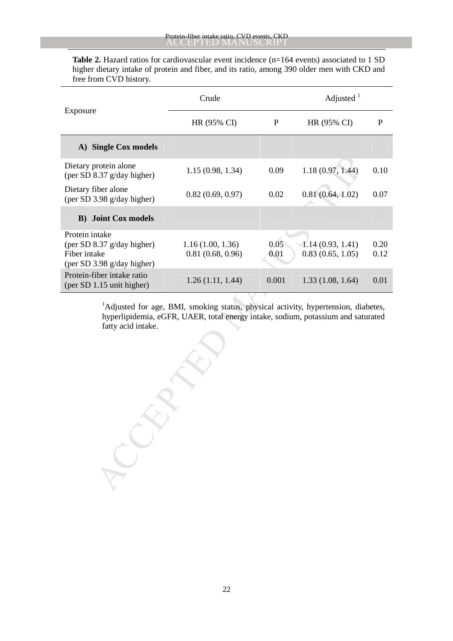Table 2. Hazard ratios for cardiovascular event incidence (n=164 events) associated to 1 SD higher dietary intake of protein and fiber, and its ratio, among 390 older men with CKD and free from CVD history.

| Exposure                                                                                                                                                                                                 | Crude                                |              | Adjusted $1$                         |              |  |
|----------------------------------------------------------------------------------------------------------------------------------------------------------------------------------------------------------|--------------------------------------|--------------|--------------------------------------|--------------|--|
|                                                                                                                                                                                                          | HR (95% CI)                          | P            | HR (95% CI)                          | $\mathbf P$  |  |
| A) Single Cox models                                                                                                                                                                                     |                                      |              |                                      |              |  |
| Dietary protein alone<br>(per SD 8.37 g/day higher)                                                                                                                                                      | 1.15(0.98, 1.34)                     | 0.09         | 1.18(0.97, 1.44)                     | 0.10         |  |
| Dietary fiber alone<br>(per SD 3.98 g/day higher)                                                                                                                                                        | 0.82(0.69, 0.97)                     | 0.02         | 0.81(0.64, 1.02)                     | 0.07         |  |
| <b>B)</b> Joint Cox models                                                                                                                                                                               |                                      |              |                                      |              |  |
| Protein intake<br>(per SD 8.37 g/day higher)<br>Fiber intake<br>(per SD 3.98 g/day higher)                                                                                                               | 1.16(1.00, 1.36)<br>0.81(0.68, 0.96) | 0.05<br>0.01 | 1.14(0.93, 1.41)<br>0.83(0.65, 1.05) | 0.20<br>0.12 |  |
| Protein-fiber intake ratio<br>(per SD 1.15 unit higher)                                                                                                                                                  | 1.26(1.11, 1.44)                     | 0.001        | 1.33(1.08, 1.64)                     | 0.01         |  |
| <sup>1</sup> Adjusted for age, BMI, smoking status, physical activity, hypertension, diabetes,<br>hyperlipidemia, eGFR, UAER, total energy intake, sodium, potassium and saturated<br>fatty acid intake. |                                      |              |                                      |              |  |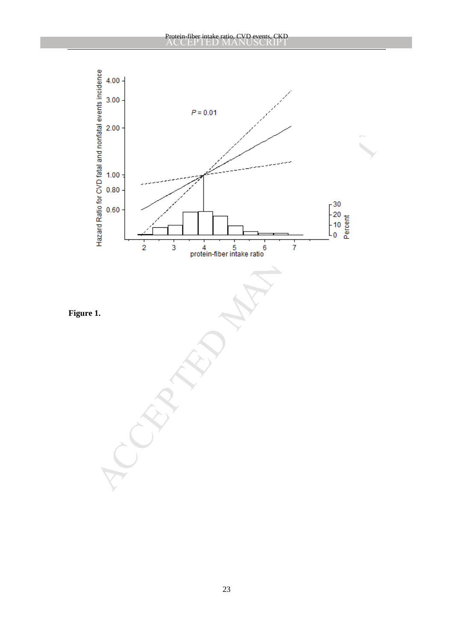

23